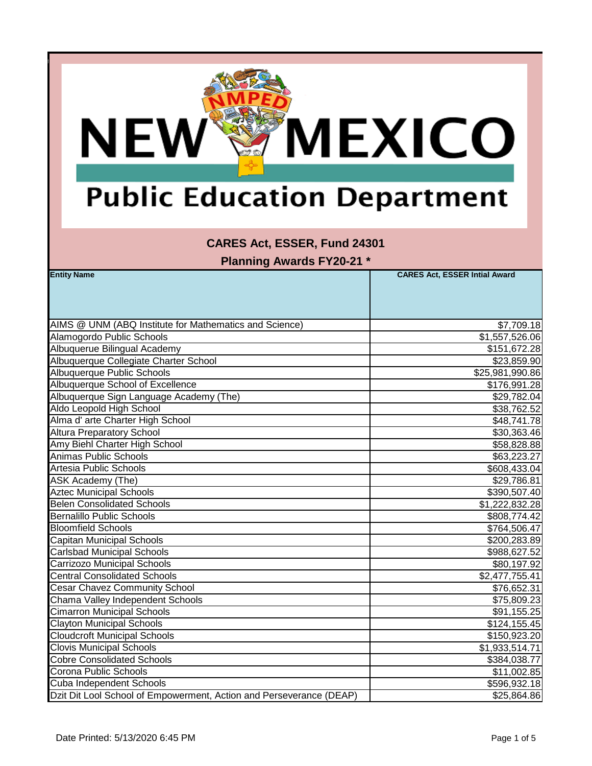

#### **CARES Act, ESSER, Fund 24301**

| <b>Entity Name</b>                                                  | <b>CARES Act, ESSER Intial Award</b> |
|---------------------------------------------------------------------|--------------------------------------|
|                                                                     |                                      |
|                                                                     |                                      |
|                                                                     |                                      |
| AIMS @ UNM (ABQ Institute for Mathematics and Science)              | \$7,709.18                           |
| Alamogordo Public Schools                                           | $\overline{1,557,526.06}$            |
| Albuquerue Bilingual Academy                                        | \$151,672.28                         |
| Albuquerque Collegiate Charter School                               | \$23,859.90                          |
| Albuquerque Public Schools                                          | \$25,981,990.86                      |
| Albuquerque School of Excellence                                    | \$176,991.28                         |
| Albuquerque Sign Language Academy (The)                             | \$29,782.04                          |
| Aldo Leopold High School                                            | \$38,762.52                          |
| Alma d' arte Charter High School                                    | \$48,741.78                          |
| <b>Altura Preparatory School</b>                                    | \$30,363.46                          |
| Amy Biehl Charter High School                                       | \$58,828.88                          |
| Animas Public Schools                                               | \$63,223.27                          |
| Artesia Public Schools                                              | \$608,433.04                         |
| <b>ASK Academy (The)</b>                                            | \$29,786.81                          |
| <b>Aztec Municipal Schools</b>                                      | \$390,507.40                         |
| <b>Belen Consolidated Schools</b>                                   | \$1,222,832.28                       |
| <b>Bernalillo Public Schools</b>                                    | \$808,774.42                         |
| <b>Bloomfield Schools</b>                                           | \$764,506.47                         |
| <b>Capitan Municipal Schools</b>                                    | \$200,283.89                         |
| <b>Carlsbad Municipal Schools</b>                                   | \$988,627.52                         |
| Carrizozo Municipal Schools                                         | \$80,197.92                          |
| <b>Central Consolidated Schools</b>                                 | \$2,477,755.41                       |
| <b>Cesar Chavez Community School</b>                                | \$76,652.31                          |
| Chama Valley Independent Schools                                    | \$75,809.23                          |
| <b>Cimarron Municipal Schools</b>                                   | \$91,155.25                          |
| <b>Clayton Municipal Schools</b>                                    | \$124, 155.45                        |
| <b>Cloudcroft Municipal Schools</b>                                 | \$150,923.20                         |
| <b>Clovis Municipal Schools</b>                                     | \$1,933,514.71                       |
| <b>Cobre Consolidated Schools</b>                                   | \$384,038.77                         |
| Corona Public Schools                                               | \$11,002.85                          |
| Cuba Independent Schools                                            | \$596,932.18                         |
| Dzit Dit Lool School of Empowerment, Action and Perseverance (DEAP) | \$25,864.86                          |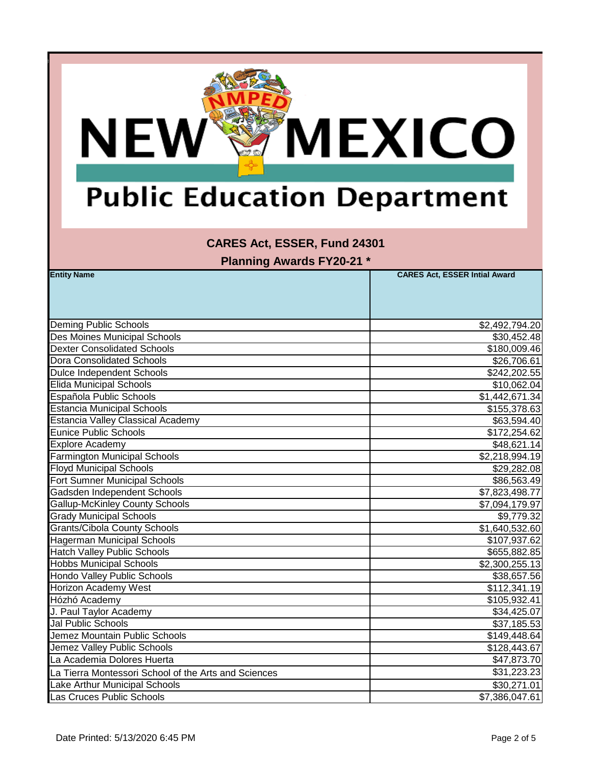

#### **CARES Act, ESSER, Fund 24301**

| <b>Entity Name</b>                                   | <b>CARES Act, ESSER Intial Award</b> |
|------------------------------------------------------|--------------------------------------|
|                                                      |                                      |
|                                                      |                                      |
|                                                      |                                      |
| <b>Deming Public Schools</b>                         | \$2,492,794.20                       |
| <b>Des Moines Municipal Schools</b>                  | \$30,452.48                          |
| <b>Dexter Consolidated Schools</b>                   | \$180,009.46                         |
| <b>Dora Consolidated Schools</b>                     | \$26,706.61                          |
| <b>Dulce Independent Schools</b>                     | \$242,202.55                         |
| <b>Elida Municipal Schools</b>                       | \$10,062.04                          |
| Española Public Schools                              | \$1,442,671.34                       |
| <b>Estancia Municipal Schools</b>                    | \$155,378.63                         |
| <b>Estancia Valley Classical Academy</b>             | \$63,594.40                          |
| <b>Eunice Public Schools</b>                         | \$172,254.62                         |
| <b>Explore Academy</b>                               | \$48,621.14                          |
| <b>Farmington Municipal Schools</b>                  | \$2,218,994.19                       |
| <b>Floyd Municipal Schools</b>                       | \$29,282.08                          |
| <b>Fort Sumner Municipal Schools</b>                 | \$86,563.49                          |
| Gadsden Independent Schools                          | \$7,823,498.77                       |
| <b>Gallup-McKinley County Schools</b>                | \$7,094,179.97                       |
| <b>Grady Municipal Schools</b>                       | \$9,779.32                           |
| <b>Grants/Cibola County Schools</b>                  | \$1,640,532.60                       |
| Hagerman Municipal Schools                           | \$107,937.62                         |
| <b>Hatch Valley Public Schools</b>                   | \$655,882.85                         |
| <b>Hobbs Municipal Schools</b>                       | \$2,300,255.13                       |
| <b>Hondo Valley Public Schools</b>                   | \$38,657.56                          |
| Horizon Academy West                                 | \$112,341.19                         |
| Hózhó Academy                                        | \$105,932.41                         |
| J. Paul Taylor Academy                               | \$34,425.07                          |
| <b>Jal Public Schools</b>                            | \$37,185.53                          |
| Jemez Mountain Public Schools                        | \$149,448.64                         |
| Jemez Valley Public Schools                          | \$128,443.67                         |
| La Academia Dolores Huerta                           | \$47,873.70                          |
| La Tierra Montessori School of the Arts and Sciences | \$31,223.23                          |
| Lake Arthur Municipal Schools                        | \$30,271.01                          |
| Las Cruces Public Schools                            | \$7,386,047.61                       |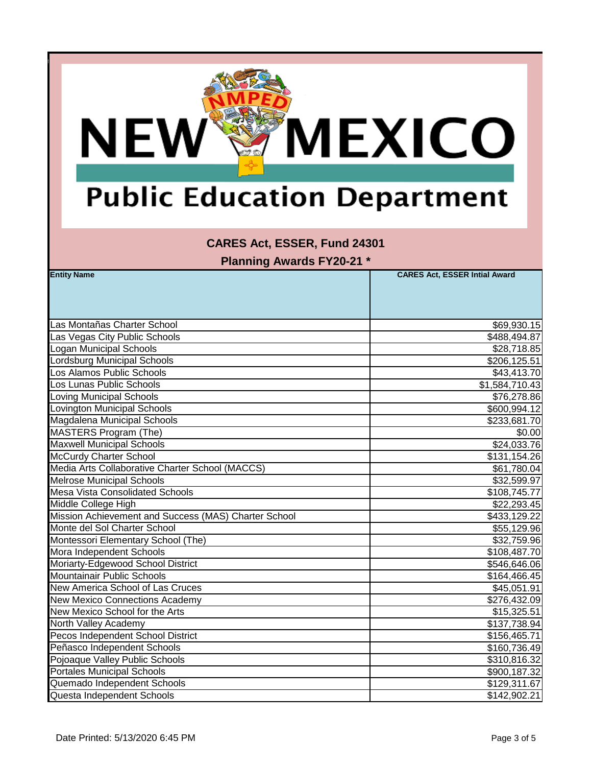

#### **CARES Act, ESSER, Fund 24301**

| <b>Entity Name</b>                                   | <b>CARES Act, ESSER Intial Award</b> |
|------------------------------------------------------|--------------------------------------|
|                                                      |                                      |
|                                                      |                                      |
|                                                      |                                      |
| Las Montañas Charter School                          | \$69,930.15                          |
| Las Vegas City Public Schools                        | \$488,494.87                         |
| <b>Logan Municipal Schools</b>                       | \$28,718.85                          |
| Lordsburg Municipal Schools                          | \$206,125.51                         |
| Los Alamos Public Schools                            | \$43,413.70                          |
| Los Lunas Public Schools                             | \$1,584,710.43                       |
| <b>Loving Municipal Schools</b>                      | \$76,278.86                          |
| <b>Lovington Municipal Schools</b>                   | \$600,994.12                         |
| Magdalena Municipal Schools                          | \$233,681.70                         |
| MASTERS Program (The)                                | \$0.00                               |
| <b>Maxwell Municipal Schools</b>                     | \$24,033.76                          |
| <b>McCurdy Charter School</b>                        | \$131,154.26                         |
| Media Arts Collaborative Charter School (MACCS)      | \$61,780.04                          |
| <b>Melrose Municipal Schools</b>                     | \$32,599.97                          |
| <b>Mesa Vista Consolidated Schools</b>               | \$108,745.77                         |
| Middle College High                                  | \$22,293.45                          |
| Mission Achievement and Success (MAS) Charter School | \$433,129.22                         |
| Monte del Sol Charter School                         | \$55,129.96                          |
| Montessori Elementary School (The)                   | \$32,759.96                          |
| Mora Independent Schools                             | \$108,487.70                         |
| Moriarty-Edgewood School District                    | \$546,646.06                         |
| <b>Mountainair Public Schools</b>                    | \$164,466.45                         |
| New America School of Las Cruces                     | \$45,051.91                          |
| <b>New Mexico Connections Academy</b>                | \$276,432.09                         |
| New Mexico School for the Arts                       | \$15,325.51                          |
| North Valley Academy                                 | \$137,738.94                         |
| Pecos Independent School District                    | \$156,465.71                         |
| Peñasco Independent Schools                          | \$160,736.49                         |
| Pojoaque Valley Public Schools                       | \$310,816.32                         |
| <b>Portales Municipal Schools</b>                    | \$900,187.32                         |
| Quemado Independent Schools                          | \$129,311.67                         |
| Questa Independent Schools                           | \$142,902.21                         |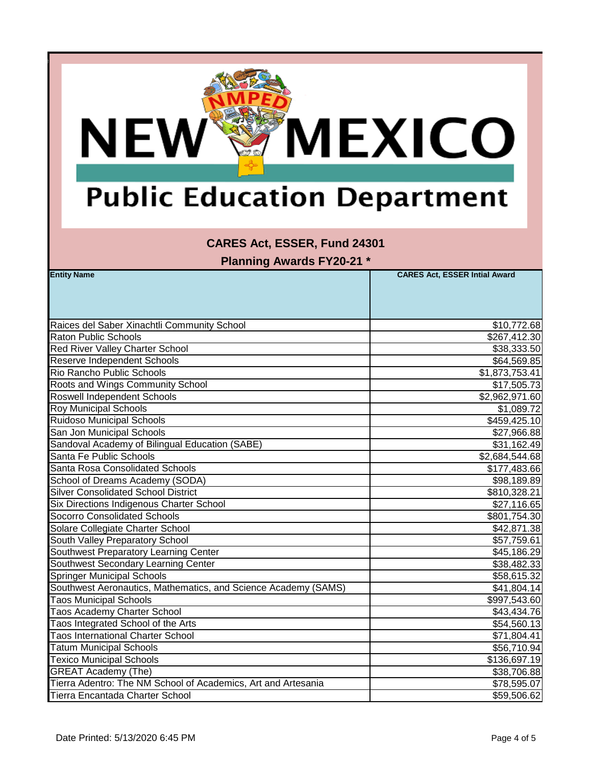

#### **CARES Act, ESSER, Fund 24301**

| <b>Entity Name</b>                                             | <b>CARES Act, ESSER Intial Award</b> |
|----------------------------------------------------------------|--------------------------------------|
|                                                                |                                      |
|                                                                |                                      |
|                                                                |                                      |
| Raices del Saber Xinachtli Community School                    | \$10,772.68                          |
| <b>Raton Public Schools</b>                                    | \$267,412.30                         |
| Red River Valley Charter School                                | \$38,333.50                          |
| Reserve Independent Schools                                    | \$64,569.85                          |
| Rio Rancho Public Schools                                      | \$1,873,753.41                       |
| Roots and Wings Community School                               | \$17,505.73                          |
| <b>Roswell Independent Schools</b>                             | \$2,962,971.60                       |
| <b>Roy Municipal Schools</b>                                   | \$1,089.72                           |
| Ruidoso Municipal Schools                                      | \$459,425.10                         |
| San Jon Municipal Schools                                      | \$27,966.88                          |
| Sandoval Academy of Bilingual Education (SABE)                 | \$31,162.49                          |
| Santa Fe Public Schools                                        | \$2,684,544.68                       |
| Santa Rosa Consolidated Schools                                | \$177,483.66                         |
| School of Dreams Academy (SODA)                                | \$98,189.89                          |
| <b>Silver Consolidated School District</b>                     | \$810,328.21                         |
| Six Directions Indigenous Charter School                       | \$27,116.65                          |
| <b>Socorro Consolidated Schools</b>                            | \$801,754.30                         |
| Solare Collegiate Charter School                               | \$42,871.38                          |
| South Valley Preparatory School                                | \$57,759.61                          |
| Southwest Preparatory Learning Center                          | \$45,186.29                          |
| Southwest Secondary Learning Center                            | \$38,482.33                          |
| <b>Springer Municipal Schools</b>                              | \$58,615.32                          |
| Southwest Aeronautics, Mathematics, and Science Academy (SAMS) | \$41,804.14                          |
| <b>Taos Municipal Schools</b>                                  | \$997,543.60                         |
| Taos Academy Charter School                                    | \$43,434.76                          |
| Taos Integrated School of the Arts                             | \$54,560.13                          |
| <b>Taos International Charter School</b>                       | \$71,804.41                          |
| <b>Tatum Municipal Schools</b>                                 | \$56,710.94                          |
| <b>Texico Municipal Schools</b>                                | \$136,697.19                         |
| <b>GREAT Academy (The)</b>                                     | \$38,706.88                          |
| Tierra Adentro: The NM School of Academics, Art and Artesania  | \$78,595.07                          |
| Tierra Encantada Charter School                                | \$59,506.62                          |